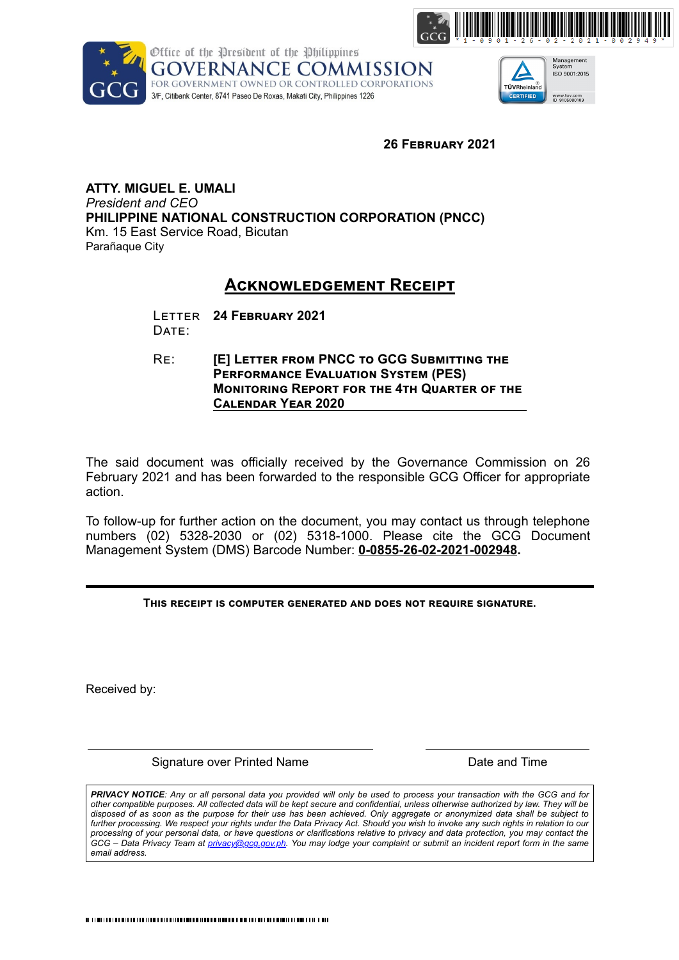





**26 FEBRUARY 2021** 

**ATTY. MIGUEL E. UMALI**  *President and CEO* **PHILIPPINE NATIONAL CONSTRUCTION CORPORATION (PNCC)** Km. 15 East Service Road, Bicutan Parañaque City

## **ACKNOWLEDGEMENT RECEIPT**

LETTER 24 FEBRUARY 2021 DATE:

RE: **[E] LETTER FROM PNCC TO GCG SUBMITTING THE PERFORMANCE EVALUATION SYSTEM (PES) MONITORING REPORT FOR THE 4TH QUARTER OF THE CALENDAR YEAR 2020** 

The said document was officially received by the Governance Commission on 26 February 2021 and has been forwarded to the responsible GCG Officer for appropriate action.

To follow-up for further action on the document, you may contact us through telephone numbers (02) 5328-2030 or (02) 5318-1000. Please cite the GCG Document Management System (DMS) Barcode Number: **0-0855-26-02-2021-002948.**

THIS RECEIPT IS COMPUTER GENERATED AND DOES NOT REQUIRE SIGNATURE.

Received by:

Signature over Printed Name **Date and Time** Date and Time

*PRIVACY NOTICE: Any or all personal data you provided will only be used to process your transaction with the GCG and for other compatible purposes. All collected data will be kept secure and confidential, unless otherwise authorized by law. They will be disposed of as soon as the purpose for their use has been achieved. Only aggregate or anonymized data shall be subject to further processing. We respect your rights under the Data Privacy Act. Should you wish to invoke any such rights in relation to our processing of your personal data, or have questions or clarifications relative to privacy and data protection, you may contact the GCG – Data Privacy Team at privacy@gcg.gov.ph. You may lodge your complaint or submit an incident report form in the same email address.*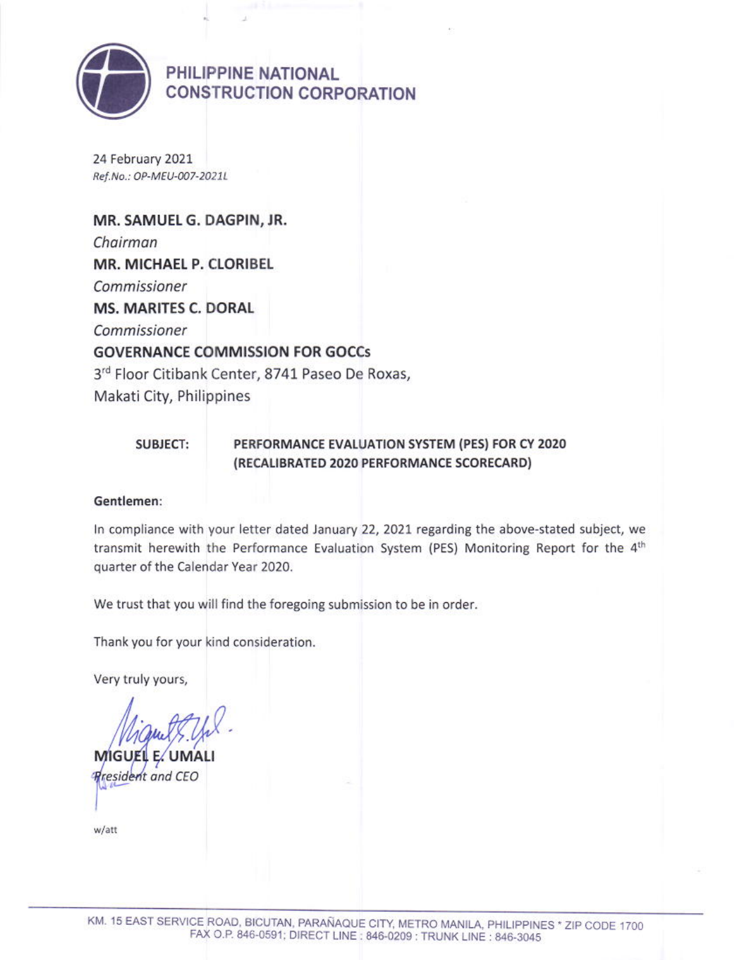

PHILIPPINE NATIONAL **CONSTRUCTION CORPORATION** 

24 February 2021 Ref.No.: OP-MEU-007-2021L

MR. SAMUEL G. DAGPIN, JR. Chairman MR. MICHAEL P. CLORIBEL Commissioner **MS. MARITES C. DORAL** Commissioner **GOVERNANCE COMMISSION FOR GOCCS** 3rd Floor Citibank Center, 8741 Paseo De Roxas, Makati City, Philippines

#### **SUBJECT:** PERFORMANCE EVALUATION SYSTEM (PES) FOR CY 2020 (RECALIBRATED 2020 PERFORMANCE SCORECARD)

### Gentlemen:

In compliance with your letter dated January 22, 2021 regarding the above-stated subject, we transmit herewith the Performance Evaluation System (PES) Monitoring Report for the 4th quarter of the Calendar Year 2020.

We trust that you will find the foregoing submission to be in order.

Thank you for your kind consideration.

Very truly yours,

**MIGUEL** 

**Rresident and CEO** 

w/att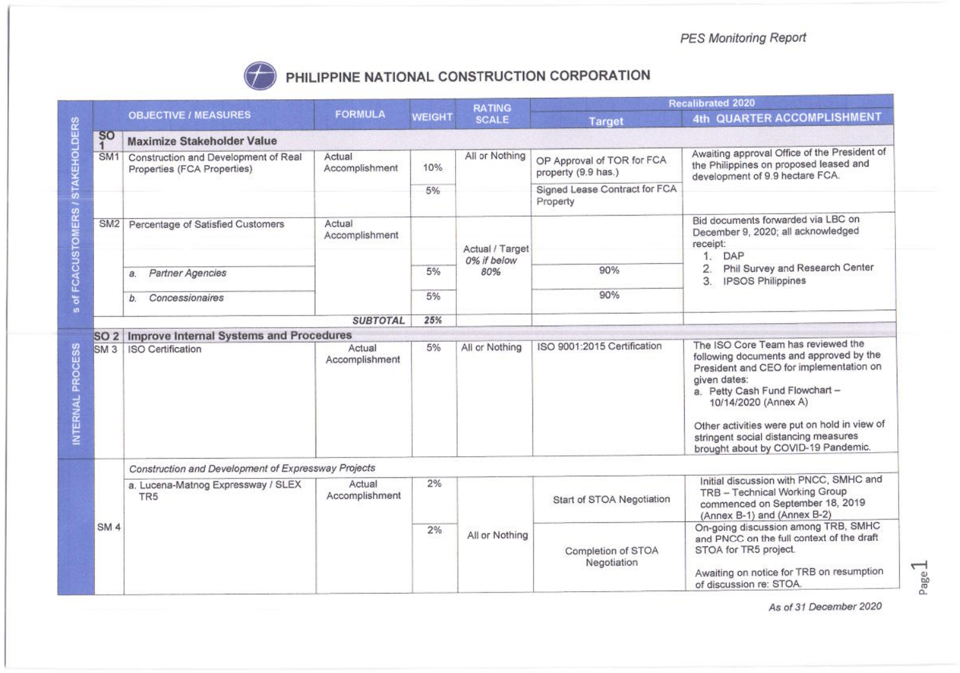

# PHILIPPINE NATIONAL CONSTRUCTION CORPORATION

|                                   | <b>OBJECTIVE / MEASURES</b>                                         | <b>FORMULA</b>           | <b>WEIGHT</b> | <b>RATING</b><br><b>SCALE</b>         | <b>Recalibrated 2020</b>                          |                                                                                                                                                                                                                                                                                                                                   |  |  |
|-----------------------------------|---------------------------------------------------------------------|--------------------------|---------------|---------------------------------------|---------------------------------------------------|-----------------------------------------------------------------------------------------------------------------------------------------------------------------------------------------------------------------------------------------------------------------------------------------------------------------------------------|--|--|
|                                   |                                                                     |                          |               |                                       | <b>Target</b>                                     | 4th QUARTER ACCOMPLISHMENT                                                                                                                                                                                                                                                                                                        |  |  |
| <b>SO</b><br>$\blacktriangleleft$ | <b>Maximize Stakeholder Value</b>                                   |                          |               |                                       |                                                   |                                                                                                                                                                                                                                                                                                                                   |  |  |
| SM <sub>1</sub>                   | Construction and Development of Real<br>Properties (FCA Properties) | Actual<br>Accomplishment | 10%           | All or Nothing                        | OP Approval of TOR for FCA<br>property (9.9 has.) | Awaiting approval Office of the President of<br>the Philippines on proposed leased and<br>development of 9.9 hectare FCA.                                                                                                                                                                                                         |  |  |
|                                   |                                                                     |                          | 5%            |                                       | Signed Lease Contract for FCA<br>Property         |                                                                                                                                                                                                                                                                                                                                   |  |  |
| SM <sub>2</sub>                   | Percentage of Satisfied Customers                                   | Actual<br>Accomplishment |               | Actual / Target<br>0% if below<br>80% |                                                   | Bid documents forwarded via LBC on<br>December 9, 2020; all acknowledged<br>receipt:                                                                                                                                                                                                                                              |  |  |
|                                   |                                                                     |                          |               |                                       |                                                   | DAP<br>1.<br>Phil Survey and Research Center<br>2.<br>3.<br><b>IPSOS Philippines</b>                                                                                                                                                                                                                                              |  |  |
|                                   | Partner Agencies<br>a.                                              |                          | 5%            |                                       | 90%                                               |                                                                                                                                                                                                                                                                                                                                   |  |  |
|                                   | Concessionaires<br>b.                                               |                          | 5%            |                                       | 90%                                               |                                                                                                                                                                                                                                                                                                                                   |  |  |
|                                   |                                                                     | <b>SUBTOTAL</b>          | 25%           |                                       |                                                   |                                                                                                                                                                                                                                                                                                                                   |  |  |
| <b>SO 2</b>                       | Improve Internal Systems and Procedures                             |                          |               |                                       |                                                   |                                                                                                                                                                                                                                                                                                                                   |  |  |
| SM <sub>3</sub>                   | <b>ISO Certification</b>                                            | Actual<br>Accomplishment | 5%            | All or Nothing                        | ISO 9001:2015 Certification                       | The ISO Core Team has reviewed the<br>following documents and approved by the<br>President and CEO for implementation on<br>given dates:<br>a. Petty Cash Fund Flowchart -<br>10/14/2020 (Annex A)<br>Other activities were put on hold in view of<br>stringent social distancing measures<br>brought about by COVID-19 Pandemic. |  |  |
|                                   | Construction and Development of Expressway Projects                 |                          |               |                                       |                                                   |                                                                                                                                                                                                                                                                                                                                   |  |  |
| SM <sub>4</sub>                   | a. Lucena-Matnog Expressway / SLEX<br>TR <sub>5</sub>               | Actual<br>Accomplishment | 2%            |                                       | Start of STOA Negotiation                         | Initial discussion with PNCC, SMHC and<br>TRB - Technical Working Group<br>commenced on September 18, 2019<br>(Annex B-1) and (Annex B-2)                                                                                                                                                                                         |  |  |
|                                   |                                                                     |                          | 2%            | All or Nothing                        | Completion of STOA<br>Negotiation                 | On-going discussion among TRB, SMHC<br>and PNCC on the full context of the draft<br>STOA for TR5 project.<br>Awaiting on notice for TRB on resumption<br>of discussion re: STOA.                                                                                                                                                  |  |  |

As of 31 December 2020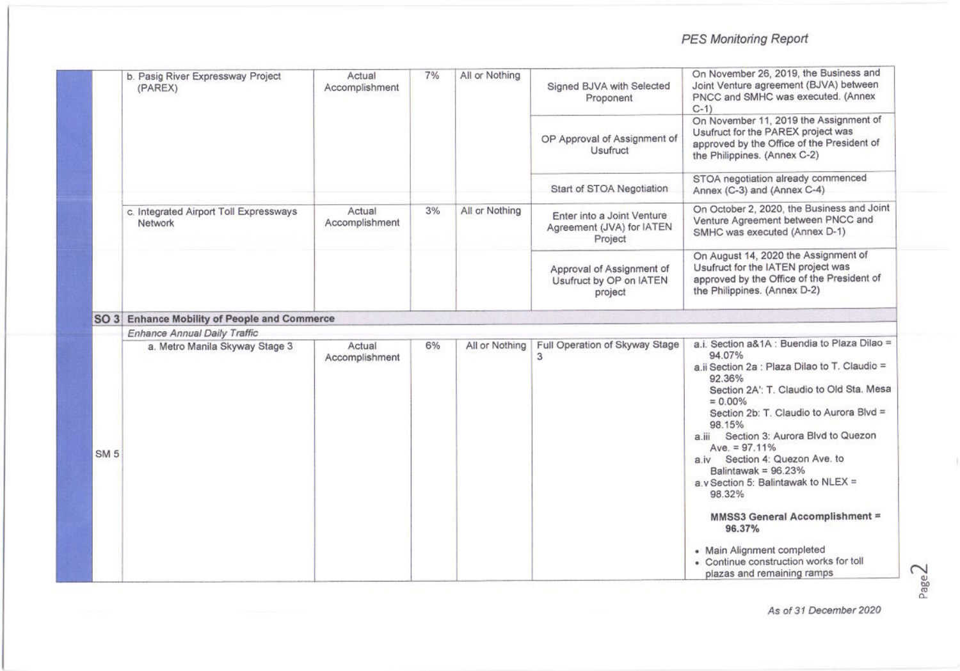# PES Monitoring Report

|                 | b. Pasig River Expressway Project<br>(PAREX)      | Actual<br>Accomplishment | 7% | All or Nothing | Signed BJVA with Selected<br>Proponent                             | On November 26, 2019, the Business and<br>Joint Venture agreement (BJVA) between<br>PNCC and SMHC was executed. (Annex<br>$C-1$                                                                                                                                                                                                                                                                                    |
|-----------------|---------------------------------------------------|--------------------------|----|----------------|--------------------------------------------------------------------|--------------------------------------------------------------------------------------------------------------------------------------------------------------------------------------------------------------------------------------------------------------------------------------------------------------------------------------------------------------------------------------------------------------------|
|                 |                                                   |                          |    |                | OP Approval of Assignment of<br>Usufruct                           | On November 11, 2019 the Assignment of<br>Usufruct for the PAREX project was<br>approved by the Office of the President of<br>the Philippines. (Annex C-2)                                                                                                                                                                                                                                                         |
|                 |                                                   |                          |    |                | Start of STOA Negotiation                                          | STOA negotiation already commenced<br>Annex (C-3) and (Annex C-4)                                                                                                                                                                                                                                                                                                                                                  |
|                 | c. Integrated Airport Toll Expressways<br>Network | Actual<br>Accomplishment | 3% | All or Nothing | Enter into a Joint Venture<br>Agreement (JVA) for IATEN<br>Project | On October 2, 2020, the Business and Joint<br>Venture Agreement between PNCC and<br>SMHC was executed (Annex D-1)                                                                                                                                                                                                                                                                                                  |
|                 |                                                   |                          |    |                | Approval of Assignment of<br>Usufruct by OP on IATEN<br>project    | On August 14, 2020 the Assignment of<br>Usufruct for the IATEN project was<br>approved by the Office of the President of<br>the Philippines. (Annex D-2)                                                                                                                                                                                                                                                           |
|                 | SO 3 Enhance Mobility of People and Commerce      |                          |    |                |                                                                    |                                                                                                                                                                                                                                                                                                                                                                                                                    |
|                 | Enhance Annual Daily Traffic                      |                          |    |                |                                                                    |                                                                                                                                                                                                                                                                                                                                                                                                                    |
| SM <sub>5</sub> | a. Metro Manila Skyway Stage 3                    | Actual<br>Accomplishment | 6% | All or Nothing | Full Operation of Skyway Stage<br>3                                | a.i. Section a&1A : Buendia to Plaza Dilao =<br>94.07%<br>a.ii Section 2a : Plaza Dilao to T. Claudio =<br>92.36%<br>Section 2A': T. Claudio to Old Sta. Mesa<br>$= 0.00\%$<br>Section 2b: T. Claudio to Aurora Blvd =<br>98.15%<br>Section 3: Aurora Blvd to Quezon<br>$a_{\cdot}$<br>Ave. $= 97.11%$<br>a.iv Section 4: Quezon Ave. to<br>Balintawak = $96.23%$<br>a.v Section 5: Balintawak to NLEX =<br>98.32% |
|                 |                                                   |                          |    |                |                                                                    | MMSS3 General Accomplishment =<br>96.37%<br>• Main Alignment completed<br>• Continue construction works for toll<br>plazas and remaining ramps                                                                                                                                                                                                                                                                     |